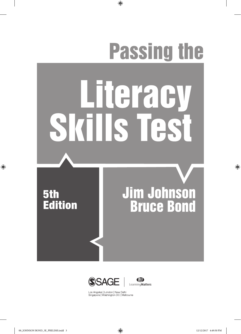

 $\bigoplus$ 





Los Angeles | London | New Delhi<br>Singapore | Washington DC | Melbourne

⊕

◈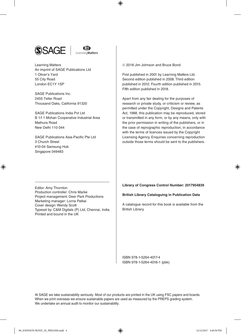



 $\bm \Theta$ 

Learning Matters An imprint of SAGE Publications Ltd 1 Oliver's Yard 55 City Road London EC1Y 1SP

SAGE Publications Inc. 2455 Teller Road Thousand Oaks, California 91320

SAGE Publications India Pvt Ltd B 1/I 1 Mohan Cooperative Industrial Area Mathura Road New Delhi 110 044

SAGE Publications Asia-Pacific Pte Ltd 3 Church Street #10-04 Samsung Hub Singapore 049483

⊕

2018 Jim Johnson and Bruce Bond

First published in 2001 by Learning Matters Ltd. Second edition published in 2008. Third edition published in 2012. Fourth edition published in 2015. Fifth edition published in 2018.

Apart from any fair dealing for the purposes of research or private study, or criticism or review, as permitted under the Copyright, Designs and Patents Act, 1988, this publication may be reproduced, stored or transmitted in any form, or by any means, only with the prior permission in writing of the publishers, or in the case of reprographic reproduction, in accordance with the terms of licences issued by the Copyright Licensing Agency. Enquiries concerning reproduction outside those terms should be sent to the publishers.

Editor: Amy Thornton Production controller: Chris Marke Project management: Deer Park Productions Marketing manager: Lorna Patkai Cover design: Wendy Scott Typeset by: C&M Digitals (P) Ltd, Chennai, India Printed and bound in the UK

**Library of Congress Control Number: 2017954839**

**British Library Cataloguing in Publication Data**

A catalogue record for this book is available from the British Library.

ISBN 978-1-5264-4017-4 ISBN 978-1-5264-4018-1 (pbk)

At SAGE we take sustainability seriously. Most of our products are printed in the UK using FSC papers and boards. When we print overseas we ensure sustainable papers are used as measured by the PREPS grading system. We undertake an annual audit to monitor our sustainability.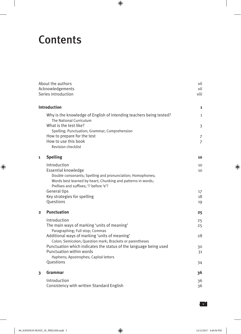# **Contents**

 $\overline{\phantom{a}}$ 

 $\bigoplus$ 

| About the authors<br>Acknowledgements<br>Series introduction |                                                                                                                                                                                             | vii<br>vii<br>viii |
|--------------------------------------------------------------|---------------------------------------------------------------------------------------------------------------------------------------------------------------------------------------------|--------------------|
|                                                              | Introduction                                                                                                                                                                                | 1                  |
|                                                              | Why is the knowledge of English of intending teachers being tested?<br>The National Curriculum                                                                                              | $\mathbf{1}$       |
|                                                              | What is the test like?<br>Spelling; Punctuation; Grammar; Comprehension                                                                                                                     | 3                  |
|                                                              | How to prepare for the test                                                                                                                                                                 | 7                  |
|                                                              | How to use this book<br>Revision checklist                                                                                                                                                  | $\overline{7}$     |
| 1                                                            | <b>Spelling</b>                                                                                                                                                                             | 10                 |
|                                                              | Introduction                                                                                                                                                                                | 10                 |
|                                                              | Essential knowledge<br>Double consonants; Spelling and pronunciation; Homophones;<br>Words best learned by heart; Chunking and patterns in words;<br>Prefixes and suffixes; 'i' before 'e'? | 10                 |
|                                                              | General tips<br>Key strategies for spelling                                                                                                                                                 | 17<br>18           |
|                                                              | Questions                                                                                                                                                                                   | 19                 |
| $\overline{2}$                                               | <b>Punctuation</b>                                                                                                                                                                          | 25                 |
|                                                              | Introduction                                                                                                                                                                                | 25                 |
|                                                              | The main ways of marking 'units of meaning'<br>Paragraphing; Full stop; Commas                                                                                                              | 25                 |
|                                                              | Additional ways of marking 'units of meaning'<br>Colon; Semicolon; Question mark; Brackets or parentheses                                                                                   | 28                 |
|                                                              | Punctuation which indicates the status of the language being used                                                                                                                           | 30                 |
|                                                              | Punctuation within words<br>Hyphens; Apostrophes; Capital letters                                                                                                                           | 31                 |
|                                                              | Questions                                                                                                                                                                                   | 34                 |
| 3                                                            | Grammar                                                                                                                                                                                     | 36                 |
|                                                              | Introduction<br>Consistency with written Standard English                                                                                                                                   | 36<br>36           |
|                                                              |                                                                                                                                                                                             |                    |

 $\bigoplus$ 

 $\overline{\phantom{a}}$ 

 $\bigoplus$ 

 $\mathbf{v}^{\mathbf{v}}$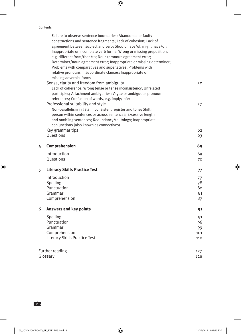#### Contents

 $\overline{\phantom{a}}$ 

 $\bigoplus$ 

|   | Failure to observe sentence boundaries; Abandoned or faulty<br>constructions and sentence fragments; Lack of cohesion; Lack of<br>agreement between subject and verb; Should have/of, might have/of;<br>Inappropriate or incomplete verb forms; Wrong or missing preposition,<br>e.g. different from/than/to; Noun/pronoun agreement error;<br>Determiner/noun agreement error; Inappropriate or missing determiner;<br>Problems with comparatives and superlatives; Problems with<br>relative pronouns in subordinate clauses; Inappropriate or |                              |
|---|--------------------------------------------------------------------------------------------------------------------------------------------------------------------------------------------------------------------------------------------------------------------------------------------------------------------------------------------------------------------------------------------------------------------------------------------------------------------------------------------------------------------------------------------------|------------------------------|
|   | missing adverbial forms<br>Sense, clarity and freedom from ambiguity<br>Lack of coherence; Wrong tense or tense inconsistency; Unrelated<br>participles; Attachment ambiguities; Vague or ambiguous pronoun                                                                                                                                                                                                                                                                                                                                      | 50                           |
|   | references; Confusion of words, e.g. imply/infer<br>Professional suitability and style<br>Non-parallelism in lists; Inconsistent register and tone; Shift in<br>person within sentences or across sentences; Excessive length<br>and rambling sentences; Redundancy/tautology; Inappropriate<br>conjunctions (also known as connectives)<br>Key grammar tips<br>Questions                                                                                                                                                                        | 57<br>62<br>63               |
| 4 | Comprehension                                                                                                                                                                                                                                                                                                                                                                                                                                                                                                                                    | 69                           |
|   | Introduction                                                                                                                                                                                                                                                                                                                                                                                                                                                                                                                                     | 69                           |
|   | Questions                                                                                                                                                                                                                                                                                                                                                                                                                                                                                                                                        | 70                           |
| 5 | <b>Literacy Skills Practice Test</b>                                                                                                                                                                                                                                                                                                                                                                                                                                                                                                             | 77                           |
|   | Introduction<br>Spelling<br>Punctuation<br>Grammar<br>Comprehension                                                                                                                                                                                                                                                                                                                                                                                                                                                                              | 77<br>78<br>80<br>81<br>87   |
| 6 | <b>Answers and key points</b>                                                                                                                                                                                                                                                                                                                                                                                                                                                                                                                    | 91                           |
|   | Spelling<br>Punctuation<br>Grammar<br>Comprehension<br>Literacy Skills Practice Test                                                                                                                                                                                                                                                                                                                                                                                                                                                             | 91<br>96<br>99<br>101<br>110 |
|   | Further reading                                                                                                                                                                                                                                                                                                                                                                                                                                                                                                                                  | 127<br>128                   |
|   | Glossary                                                                                                                                                                                                                                                                                                                                                                                                                                                                                                                                         |                              |

 $\bigoplus$ 

 $\overrightarrow{\mathsf{vi}}$  .

 $\overline{\phantom{a}}$ 

 $\bigoplus$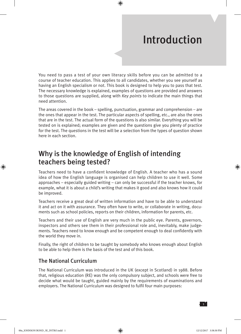You need to pass a test of your own literacy skills before you can be admitted to a course of teacher education. This applies to all candidates, whether you see yourself as having an English specialism or not. This book is designed to help you to pass that test. The necessary knowledge is explained, examples of questions are provided and answers to those questions are supplied, along with *Key points* to indicate the main things that need attention.

⊕

The areas covered in the book – spelling, punctuation, grammar and comprehension – are the ones that appear in the test. The particular aspects of spelling, etc., are also the ones that are in the test. The actual form of the questions is also similar. Everything you will be tested on is explained; examples are given and the questions give you plenty of practice for the test. The questions in the test will be a selection from the types of question shown here in each section.

# Why is the knowledge of English of intending teachers being tested?

Teachers need to have a confident knowledge of English. A teacher who has a sound idea of how the English language is organised can help children to use it well. Some approaches – especially guided writing – can only be successful if the teacher knows, for example, what it is about a child's writing that makes it good and also knows how it could be improved.

Teachers receive a great deal of written information and have to be able to understand it and act on it with assurance. They often have to write, or collaborate in writing, documents such as school policies, reports on their children, information for parents, etc.

Teachers and their use of English are very much in the public eye. Parents, governors, inspectors and others see them in their professional role and, inevitably, make judgements. Teachers need to know enough and be competent enough to deal confidently with the world they move in.

Finally, the right of children to be taught by somebody who knows enough about English to be able to help them is the basis of the test and of this book.

## The National Curriculum

The National Curriculum was introduced in the UK (except in Scotland) in 1988. Before that, religious education (RE) was the only compulsory subject, and schools were free to decide what would be taught, guided mainly by the requirements of examinations and employers. The National Curriculum was designed to fulfil four main purposes:

⊕

1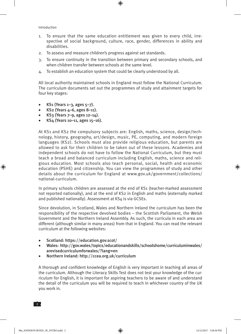1. To ensure that the same education entitlement was given to every child, irrespective of social background, culture, race, gender, differences in ability and disabilities.

 $\bigcirc$ 

- 2. To assess and measure children's progress against set standards.
- 3. To ensure continuity in the transition between primary and secondary schools, and when children transfer between schools at the same level.
- 4. To establish an education system that could be clearly understood by all.

All local authority maintained schools in England must follow the National Curriculum. The curriculum documents set out the programmes of study and attainment targets for four key stages:

- KS<sub>1</sub> (Years  $1-3$ , ages  $5-7$ ).
- KS2 (Years 4–6, ages 8–11).
- $KS<sub>3</sub>$  (Years  $7-9$ , ages  $12-14$ ).
- KS4 (Years 10–11, ages 15–16).

At KS1 and KS2 the compulsory subjects are: English, maths, science, design/technology, history, geography, art/design, music, PE, computing, and modern foreign languages (KS2). Schools must also provide religious education, but parents are allowed to ask for their children to be taken out of these lessons. Academies and independent schools do not have to follow the National Curriculum, but they must teach a broad and balanced curriculum including English, maths, science and religious education. Most schools also teach personal, social, health and economic education (PSHE) and citizenship. You can view the programmes of study and other details about the curriculum for England at www.gov.uk/government/collections/ national-curriculum.

In primary schools children are assessed at the end of KS1 (teacher-marked assessment not reported nationally), and at the end of KS2 in English and maths (externally marked and published nationally). Assessment at KS4 is via GCSEs.

Since devolution, in Scotland, Wales and Northern Ireland the curriculum has been the responsibility of the respective devolved bodies – the Scottish Parliament, the Welsh Government and the Northern Ireland Assembly. As such, the curricula in each area are different (although similar in many areas) from that in England. You can read the relevant curriculum at the following websites:

- Scotland: https://education.gov.scot/
- Wales: http://gov.wales/topics/educationandskills/schoolshome/curriculuminwales/ arevisedcurriculumforwales/?lang=en
- Northern Ireland: http://ccea.org.uk/curriculum

A thorough and confident knowledge of English is very important in teaching all areas of the curriculum. Although the Literacy Skills Test does not test your knowledge of the curriculum for English, it is important for aspiring teachers to be aware of and understand the detail of the curriculum you will be required to teach in whichever country of the UK you work in.

2

⊕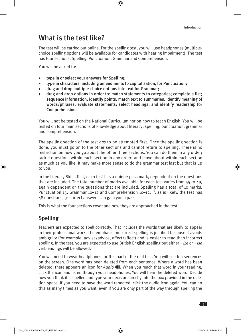# What is the test like?

The test will be carried out online. For the spelling test, you will use headphones (multiplechoice spelling options will be available for candidates with hearing impairment). The test has four sections: Spelling, Punctuation, Grammar and Comprehension.

 $\bigcirc$ 

You will be asked to:

- type in or select your answers for Spelling;
- type in characters, including amendments to capitalisation, for Punctuation;
- drag and drop multiple-choice options into text for Grammar;
- drag and drop options in order to: match statements to categories; complete a list; sequence information; identify points; match text to summaries; identify meaning of words/phrases; evaluate statements; select headings; and identify readership for Comprehension.

You will not be tested on the National Curriculum nor on how to teach English. You will be tested on four main sections of knowledge about literacy: spelling, punctuation, grammar and comprehension.

The spelling section of the test *has* to be attempted first. Once the spelling section is done, you must go on to the other sections and cannot return to spelling. There is no restriction on how you go about the other three sections. You can do them in any order; tackle questions within each section in any order; and move about within each section as much as you like. It may make more sense to do the grammar test last but that is up to you.

In the Literacy Skills Test, each test has a unique pass mark, dependent on the questions that are included. The total number of marks available for each test varies from  $45$  to  $49$ , again dependent on the questions that are included. Spelling has a total of 10 marks, Punctuation 15, Grammar 10–12 and Comprehension 10–12. If, as is likely, the test has 48 questions, 31 correct answers can gain you a pass.

This is what the four sections cover and how they are approached in the test:

## Spelling

⊕

Teachers are expected to spell correctly. That includes the words that are likely to appear in their professional work. The emphasis on correct spelling is justified because it avoids ambiguity (for example, advise/advice; affect/effect) and is easier to read than incorrect spelling. In the test, you are expected to use British English spelling but either *– ize* or *– ise*  verb endings will be allowed.

You will need to wear headphones for this part of the real test. You will see ten sentences on the screen. One word has been deleted from each sentence. Where a word has been deleted, there appears an icon for *Audio*  $\bullet$ . When you reach that word in your reading, click the icon and listen through your headphones. You will hear the deleted word. Decide how you think it is spelled and type your decision directly into the box provided in the deletion space. If you need to have the word repeated, click the audio icon again. You can do this as many times as you want, even if you are only part of the way through spelling the

 $3<sup>1</sup>$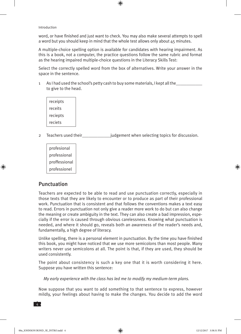word, or have finished and just want to check. You may also make several attempts to spell a word but you should keep in mind that the whole test allows only about 45 minutes.

 $\circledast$ 

A multiple-choice spelling option is available for candidates with hearing impairment. As this is a book, not a computer, the practice questions follow the same rubric and format as the hearing impaired multiple-choice questions in the Literacy Skills Test:

Select the correctly spelled word from the box of alternatives. Write your answer in the space in the sentence.

As I had used the school's petty cash to buy some materials, I kept all the to give to the head.

| receipts |  |
|----------|--|
| receits  |  |
| reciepts |  |
| reciets  |  |

- 2 Teachers used their\_\_\_\_\_\_\_\_\_\_\_\_\_judgement when selecting topics for discussion.
	- profesional professional proffessional professionel

### Punctuation

⊕

Teachers are expected to be able to read and use punctuation correctly, especially in those texts that they are likely to encounter or to produce as part of their professional work. Punctuation that is consistent and that follows the conventions makes a text easy to read. Errors in punctuation not only give a reader more work to do but can also change the meaning or create ambiguity in the text. They can also create a bad impression, especially if the error is caused through obvious carelessness. Knowing what punctuation is needed, and where it should go, reveals both an awareness of the reader's needs and, fundamentally, a high degree of literacy.

Unlike spelling, there is a personal element in punctuation. By the time you have finished this book, you might have noticed that we use more semicolons than most people. Many writers never use semicolons at all. The point is that, if they are used, they should be used consistently.

The point about consistency is such a key one that it is worth considering it here. Suppose you have written this sentence:

*My early experience with the class has led me to modify my medium-term plans.*

Now suppose that you want to add something to that sentence to express, however mildly, your feelings about having to make the changes. You decide to add the word

 $\overline{A}$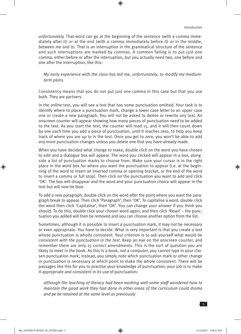*unfortunately.* That word can go at the beginning of the sentence (with a comma immediately after it) or at the end (with a comma immediately before it) or in the middle, between *me* and *to.* That is an interruption in the grammatical structure of the sentence and such interruptions are marked by commas. A common failing is to put just one comma, either before or after the interruption, but you actually need two, one before and one after the interruption, like this:

 $\bigcirc$ 

*My early experience with the class has led me, unfortunately, to modify my mediumterm plans.*

Consistency means that you do not put just one comma in this case but that you use both. They are partners.

In the online test, you will see a text that has some punctuation omitted. Your task is to identify where to place a punctuation mark, change a lower case letter to an upper case one or create a new paragraph. You will not be asked to delete or rewrite any text. An onscreen counter will appear showing how many pieces of punctuation need to be added to the text. As you start the test, the counter will read 15, and it will then count down by one each time you add a piece of punctuation, until it reaches zero, to help you keep track of where you are up to in the test. Once you get to zero, you won't be able to add any more punctuation changes unless you delete one that you have already made.

When you have decided what change to make, double click on the word you have chosen to edit and a dialogue box will appear. The word you clicked will appear in a box, alongside a list of punctuation marks to choose from. Make sure your cursor is in the right place in the word box for where you want the punctuation to appear (i.e. at the beginning of the word to insert an inverted comma or opening bracket, or the end of the word to insert a comma or full stop). Then click on the punctuation you want to add and click 'OK'. The box will disappear and the word and your punctuation choice will appear in the text but will now be blue.

To add a new paragraph, double click on the word after the point where you want the paragraph break to appear. Then click 'Paragraph', then 'OK'. To capitalise a word, double click the word then click 'Capitalise', then 'OK'. You can change your answer if you think you should. To do this, double click your chosen word again, and then click 'Reset' – the punctuation you added will then be removed and you can choose another option from the list.

Sometimes, although it is possible to insert a punctuation mark, it may not be necessary or even appropriate. You have to decide. What is very important is that you create a text whose punctuation is wholly consistent. Your criterion is to ask yourself what would be *consistent with the punctuation in the text.* Keep an eye on the onscreen counter, and remember there are only 15 correct amendments. This is the sort of question you are likely to meet in the book. As this is a book, not a computer, you cannot type in your chosen punctuation mark; instead, you simply note which punctuation mark or other change in punctuation is necessary at which point to make the whole consistent. There will be passages like this for you to practise your knowledge of punctuation; your job is to make it appropriate and consistent in its use of punctuation:

*although the teaching of literacy had been working well some staff wondered how to maintain the good work they had done in other areas of the curriculum could drama and pe be retained at the same level as previously*

⊕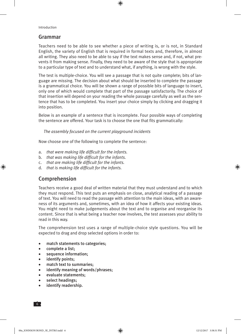### Grammar

Teachers need to be able to see whether a piece of writing is, or is not, in Standard English, the variety of English that is required in formal texts and, therefore, in almost all writing. They also need to be able to say if the text makes sense and, if not, what prevents it from making sense. Finally, they need to be aware of the style that is appropriate to a particular type of text and to understand what, if anything, is wrong with the style.

 $\bigcirc$ 

The test is multiple-choice. You will see a passage that is not quite complete; bits of language are missing. The decision about what should be inserted to complete the passage is a grammatical choice. You will be shown a range of possible bits of language to insert, only one of which would complete that part of the passage satisfactorily. The choice of that insertion will depend on your reading the whole passage carefully as well as the sentence that has to be completed. You insert your choice simply by clicking and dragging it into position.

Below is an example of a sentence that is incomplete. Four possible ways of completing the sentence are offered. Your task is to choose the one that fits grammatically:

*The assembly focused on the current playground incidents*

Now choose one of the following to complete the sentence:

- a. *that were making life difficult for the infants.*
- b. *that was making life difficult for the infants.*
- c. *that are making life difficult for the infants.*
- d. *that is making life difficult for the infants.*

## Comprehension

⊕

Teachers receive a good deal of written material that they must understand and to which they must respond. This test puts an emphasis on close, analytical reading of a passage of text. You will need to read the passage with attention to the main ideas, with an awareness of its arguments and, sometimes, with an idea of how it affects your existing ideas. You might need to make judgements about the text and to organise and reorganise its content. Since that is what being a teacher now involves, the test assesses your ability to read in this way.

The comprehension test uses a range of multiple-choice style questions. You will be expected to drag and drop selected options in order to:

- match statements to categories;
- complete a list;
- sequence information;
- identify points;
- match text to summaries;
- identify meaning of words/phrases;
- evaluate statements;
- select headings;
- identify readership.

6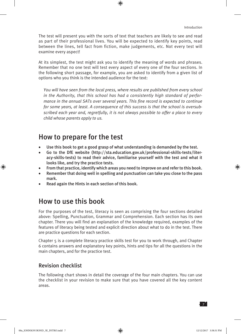The test will present you with the sorts of text that teachers are likely to see and read as part of their professional lives. You will be expected to identify key points, read between the lines, tell fact from fiction, make judgements, etc. Not every test will examine every aspect!

 $\bigcirc$ 

At its simplest, the test might ask you to identify the meaning of words and phrases. Remember that no one test will test every aspect of every one of the four sections. In the following short passage, for example, you are asked to identify from a given list of options who you think is the intended audience for the text:

*You will have seen from the local press, where results are published from every school in the Authority, that this school has had a consistently high standard of performance in the annual SATs over several years. This fine record is expected to continue for some years, at least. A consequence of this success is that the school is oversubscribed each year and, regretfully, it is not always possible to offer a place to every child whose parents apply to us.*

## How to prepare for the test

- Use this book to get a good grasp of what understanding is demanded by the test.
- Go to the DfE website (http://sta.education.gov.uk/professional-skills-tests/literacy-skills-tests) to read their advice, familiarise yourself with the test and what it looks like, and try the practice tests.
- From that practice, identify which areas you need to improve on and refer to this book.
- Remember that doing well in spelling and punctuation can take you close to the pass mark.
- Read again the Hints in each section of this book.

## How to use this book

For the purposes of the test, literacy is seen as comprising the four sections detailed above: Spelling, Punctuation, Grammar and Comprehension. Each section has its own chapter. There you will find an explanation of the knowledge required, examples of the features of literacy being tested and explicit direction about what to do in the test. There are practice questions for each section.

Chapter 5 is a complete literacy practice skills test for you to work through, and Chapter 6 contains answers and explanatory key points, hints and tips for all the questions in the main chapters, and for the practice test.

## Revision checklist

The following chart shows in detail the coverage of the four main chapters. You can use the checklist in your revision to make sure that you have covered all the key content areas.

⊕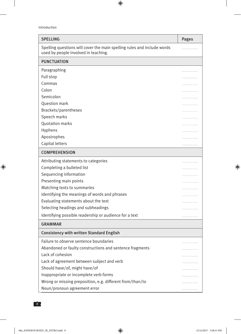$\overline{\phantom{a}}$ 

 $\bigoplus$ 

| Spelling questions will cover the main spelling rules and include words<br>used by people involved in teaching.<br><b>PUNCTUATION</b><br>Paragraphing<br>Full stop<br>Commas<br><br>Colon<br>Semicolon<br><br><b>Question mark</b><br>Brackets/parentheses<br>Speech marks<br><br><b>Quotation marks</b><br><br>Hyphens<br>Apostrophes<br>Capital letters<br><b>COMPREHENSION</b><br>Attributing statements to categories<br>Completing a bulleted list<br>Sequencing information<br><br>Presenting main points<br><br>Matching texts to summaries<br>Identifying the meanings of words and phrases<br>Evaluating statements about the text<br><br>Selecting headings and subheadings<br><br>Identifying possible readership or audience for a text<br><b>GRAMMAR</b><br><b>Consistency with written Standard English</b><br>Failure to observe sentence boundaries<br>Abandoned or faulty constructions and sentence fragments<br>Lack of cohesion<br>Lack of agreement between subject and verb<br>Should have/of, might have/of<br>Inappropriate or incomplete verb forms<br><br>Wrong or missing preposition, e.g. different from/than/to<br>Noun/pronoun agreement error | <b>SPELLING</b> | <b>Pages</b> |
|-------------------------------------------------------------------------------------------------------------------------------------------------------------------------------------------------------------------------------------------------------------------------------------------------------------------------------------------------------------------------------------------------------------------------------------------------------------------------------------------------------------------------------------------------------------------------------------------------------------------------------------------------------------------------------------------------------------------------------------------------------------------------------------------------------------------------------------------------------------------------------------------------------------------------------------------------------------------------------------------------------------------------------------------------------------------------------------------------------------------------------------------------------------------------------|-----------------|--------------|
|                                                                                                                                                                                                                                                                                                                                                                                                                                                                                                                                                                                                                                                                                                                                                                                                                                                                                                                                                                                                                                                                                                                                                                               |                 |              |
|                                                                                                                                                                                                                                                                                                                                                                                                                                                                                                                                                                                                                                                                                                                                                                                                                                                                                                                                                                                                                                                                                                                                                                               |                 |              |
|                                                                                                                                                                                                                                                                                                                                                                                                                                                                                                                                                                                                                                                                                                                                                                                                                                                                                                                                                                                                                                                                                                                                                                               |                 |              |
|                                                                                                                                                                                                                                                                                                                                                                                                                                                                                                                                                                                                                                                                                                                                                                                                                                                                                                                                                                                                                                                                                                                                                                               |                 |              |
|                                                                                                                                                                                                                                                                                                                                                                                                                                                                                                                                                                                                                                                                                                                                                                                                                                                                                                                                                                                                                                                                                                                                                                               |                 |              |
|                                                                                                                                                                                                                                                                                                                                                                                                                                                                                                                                                                                                                                                                                                                                                                                                                                                                                                                                                                                                                                                                                                                                                                               |                 |              |
|                                                                                                                                                                                                                                                                                                                                                                                                                                                                                                                                                                                                                                                                                                                                                                                                                                                                                                                                                                                                                                                                                                                                                                               |                 |              |
|                                                                                                                                                                                                                                                                                                                                                                                                                                                                                                                                                                                                                                                                                                                                                                                                                                                                                                                                                                                                                                                                                                                                                                               |                 |              |
|                                                                                                                                                                                                                                                                                                                                                                                                                                                                                                                                                                                                                                                                                                                                                                                                                                                                                                                                                                                                                                                                                                                                                                               |                 |              |
|                                                                                                                                                                                                                                                                                                                                                                                                                                                                                                                                                                                                                                                                                                                                                                                                                                                                                                                                                                                                                                                                                                                                                                               |                 |              |
|                                                                                                                                                                                                                                                                                                                                                                                                                                                                                                                                                                                                                                                                                                                                                                                                                                                                                                                                                                                                                                                                                                                                                                               |                 |              |
|                                                                                                                                                                                                                                                                                                                                                                                                                                                                                                                                                                                                                                                                                                                                                                                                                                                                                                                                                                                                                                                                                                                                                                               |                 |              |
|                                                                                                                                                                                                                                                                                                                                                                                                                                                                                                                                                                                                                                                                                                                                                                                                                                                                                                                                                                                                                                                                                                                                                                               |                 |              |
|                                                                                                                                                                                                                                                                                                                                                                                                                                                                                                                                                                                                                                                                                                                                                                                                                                                                                                                                                                                                                                                                                                                                                                               |                 |              |
|                                                                                                                                                                                                                                                                                                                                                                                                                                                                                                                                                                                                                                                                                                                                                                                                                                                                                                                                                                                                                                                                                                                                                                               |                 |              |
|                                                                                                                                                                                                                                                                                                                                                                                                                                                                                                                                                                                                                                                                                                                                                                                                                                                                                                                                                                                                                                                                                                                                                                               |                 |              |
|                                                                                                                                                                                                                                                                                                                                                                                                                                                                                                                                                                                                                                                                                                                                                                                                                                                                                                                                                                                                                                                                                                                                                                               |                 |              |
|                                                                                                                                                                                                                                                                                                                                                                                                                                                                                                                                                                                                                                                                                                                                                                                                                                                                                                                                                                                                                                                                                                                                                                               |                 |              |
|                                                                                                                                                                                                                                                                                                                                                                                                                                                                                                                                                                                                                                                                                                                                                                                                                                                                                                                                                                                                                                                                                                                                                                               |                 |              |
|                                                                                                                                                                                                                                                                                                                                                                                                                                                                                                                                                                                                                                                                                                                                                                                                                                                                                                                                                                                                                                                                                                                                                                               |                 |              |
|                                                                                                                                                                                                                                                                                                                                                                                                                                                                                                                                                                                                                                                                                                                                                                                                                                                                                                                                                                                                                                                                                                                                                                               |                 |              |
|                                                                                                                                                                                                                                                                                                                                                                                                                                                                                                                                                                                                                                                                                                                                                                                                                                                                                                                                                                                                                                                                                                                                                                               |                 |              |
|                                                                                                                                                                                                                                                                                                                                                                                                                                                                                                                                                                                                                                                                                                                                                                                                                                                                                                                                                                                                                                                                                                                                                                               |                 |              |
|                                                                                                                                                                                                                                                                                                                                                                                                                                                                                                                                                                                                                                                                                                                                                                                                                                                                                                                                                                                                                                                                                                                                                                               |                 |              |
|                                                                                                                                                                                                                                                                                                                                                                                                                                                                                                                                                                                                                                                                                                                                                                                                                                                                                                                                                                                                                                                                                                                                                                               |                 |              |
|                                                                                                                                                                                                                                                                                                                                                                                                                                                                                                                                                                                                                                                                                                                                                                                                                                                                                                                                                                                                                                                                                                                                                                               |                 |              |
|                                                                                                                                                                                                                                                                                                                                                                                                                                                                                                                                                                                                                                                                                                                                                                                                                                                                                                                                                                                                                                                                                                                                                                               |                 |              |
|                                                                                                                                                                                                                                                                                                                                                                                                                                                                                                                                                                                                                                                                                                                                                                                                                                                                                                                                                                                                                                                                                                                                                                               |                 |              |
|                                                                                                                                                                                                                                                                                                                                                                                                                                                                                                                                                                                                                                                                                                                                                                                                                                                                                                                                                                                                                                                                                                                                                                               |                 |              |
|                                                                                                                                                                                                                                                                                                                                                                                                                                                                                                                                                                                                                                                                                                                                                                                                                                                                                                                                                                                                                                                                                                                                                                               |                 |              |
|                                                                                                                                                                                                                                                                                                                                                                                                                                                                                                                                                                                                                                                                                                                                                                                                                                                                                                                                                                                                                                                                                                                                                                               |                 |              |
|                                                                                                                                                                                                                                                                                                                                                                                                                                                                                                                                                                                                                                                                                                                                                                                                                                                                                                                                                                                                                                                                                                                                                                               |                 |              |
|                                                                                                                                                                                                                                                                                                                                                                                                                                                                                                                                                                                                                                                                                                                                                                                                                                                                                                                                                                                                                                                                                                                                                                               |                 |              |
|                                                                                                                                                                                                                                                                                                                                                                                                                                                                                                                                                                                                                                                                                                                                                                                                                                                                                                                                                                                                                                                                                                                                                                               |                 |              |

 $\bigoplus$ 

 $\overline{8}$ .

I

 $\bigoplus$